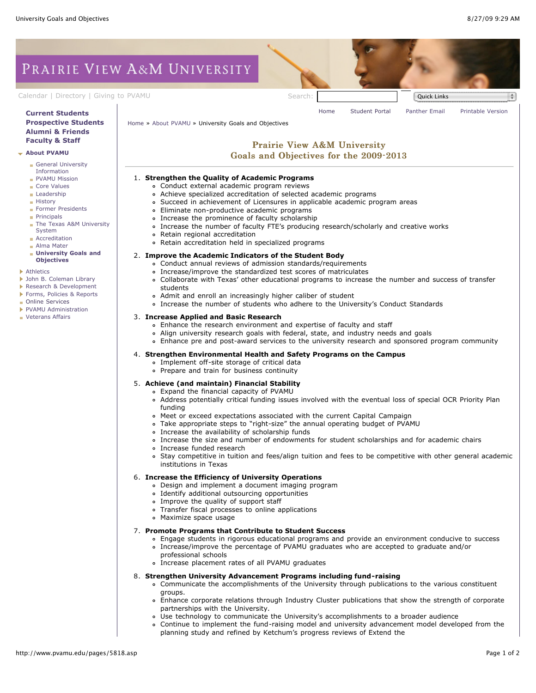